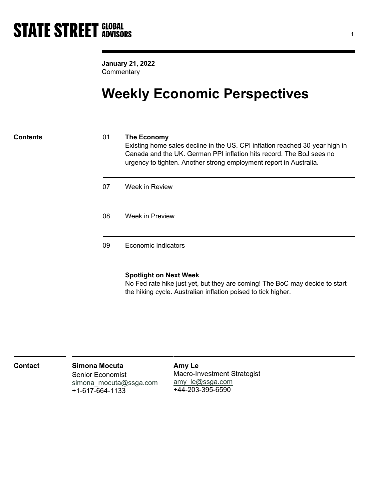January 21, 2022 **Commentary** 

# Weekly Economic Perspectives

## Contents 01 The Economy

Existing home sales decline in the US. CPI inflation reached 30-year high in Canada and the UK. German PPI inflation hits record. The BoJ sees no urgency to tighten. Another strong employment report in Australia.

| 07 | Week in Review             |
|----|----------------------------|
| 08 | Week in Preview            |
| 09 | <b>Economic Indicators</b> |

## Spotlight on Next Week

No Fed rate hike just yet, but they are coming! The BoC may decide to start the hiking cycle. Australian inflation poised to tick higher.

| <b>Contact</b> | <b>Simona Mocuta</b>    | Amy Le                             |  |
|----------------|-------------------------|------------------------------------|--|
|                | <b>Senior Economist</b> | <b>Macro-Investment Strategist</b> |  |
|                | simona mocuta@ssga.com  | amy le@ssga.com                    |  |
|                | +1-617-664-1133         | +44-203-395-6590                   |  |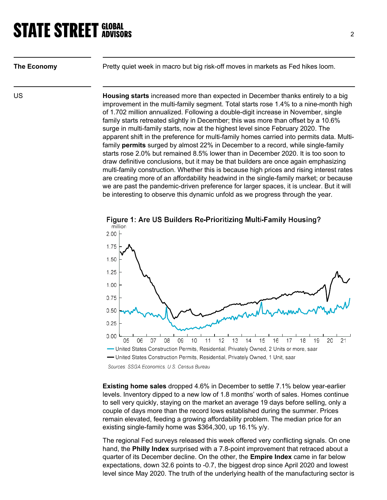| The Economy | Pretty quiet week in macro but big risk-off moves in markets as Fed hikes loom.                                                                                                                                                                                                                                                                                                                                                                                                                                                                                                                                                 |
|-------------|---------------------------------------------------------------------------------------------------------------------------------------------------------------------------------------------------------------------------------------------------------------------------------------------------------------------------------------------------------------------------------------------------------------------------------------------------------------------------------------------------------------------------------------------------------------------------------------------------------------------------------|
| US.         | <b>Housing starts</b> increased more than expected in December thanks entirely to a big<br>improvement in the multi-family segment. Total starts rose 1.4% to a nine-month high<br>of 1.702 million annualized. Following a double-digit increase in November, single<br>family starts retreated slightly in December; this was more than offset by a 10.6%<br>surge in multi-family starts, now at the highest level since February 2020. The<br>apparent shift in the preference for multi-family homes carried into permits data. Multi-<br>family permits surged by almost 22% in December to a record, while single-family |

apparent shift in the preference for multi-family homes carried into permits data. Multistarts rose 2.0% but remained 8.5% lower than in December 2020. It is too soon to draw definitive conclusions, but it may be that builders are once again emphasizing multi-family construction. Whether this is because high prices and rising interest rates are creating more of an affordability headwind in the single-family market; or because we are past the pandemic-driven preference for larger spaces, it is unclear. But it will be interesting to observe this dynamic unfold as we progress through the year.



Figure 1: Are US Builders Re-Prioritizing Multi-Family Housing?

Existing home sales dropped 4.6% in December to settle 7.1% below year-earlier levels. Inventory dipped to a new low of 1.8 months' worth of sales. Homes continue to sell very quickly, staying on the market an average 19 days before selling, only a couple of days more than the record lows established during the summer. Prices remain elevated, feeding a growing affordability problem. The median price for an existing single-family home was \$364,300, up 16.1% y/y.

The regional Fed surveys released this week offered very conflicting signals. On one hand, the Philly Index surprised with a 7.8-point improvement that retraced about a quarter of its December decline. On the other, the **Empire Index** came in far below expectations, down 32.6 points to -0.7, the biggest drop since April 2020 and lowest level since May 2020. The truth of the underlying health of the manufacturing sector is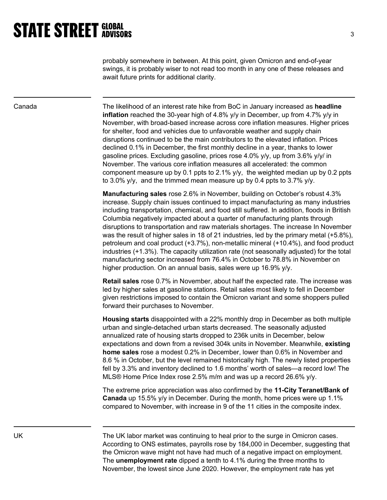probably somewhere in between. At this point, given Omicron and end-of-year swings, it is probably wiser to not read too month in any one of these releases and await future prints for additional clarity.

Canada The likelihood of an interest rate hike from BoC in January increased as headline **inflation** reached the 30-year high of 4.8%  $y/y$  in December, up from 4.7%  $y/y$  in November, with broad-based increase across core inflation measures. Higher prices for shelter, food and vehicles due to unfavorable weather and supply chain disruptions continued to be the main contributors to the elevated inflation. Prices declined 0.1% in December, the first monthly decline in a year, thanks to lower gasoline prices. Excluding gasoline, prices rose 4.0% y/y, up from 3.6% y/y/ in November. The various core inflation measures all accelerated: the common component measure up by 0.1 ppts to 2.1%  $y/y$ , the weighted median up by 0.2 ppts to 3.0% y/y, and the trimmed mean measure up by 0.4 ppts to 3.7% y/y.

> Manufacturing sales rose 2.6% in November, building on October's robust 4.3% increase. Supply chain issues continued to impact manufacturing as many industries including transportation, chemical, and food still suffered. In addition, floods in British Columbia negatively impacted about a quarter of manufacturing plants through disruptions to transportation and raw materials shortages. The increase In November was the result of higher sales in 18 of 21 industries, led by the primary metal (+5.8%), petroleum and coal product (+3.7%), non-metallic mineral (+10.4%), and food product industries (+1.3%). The capacity utilization rate (not seasonally adjusted) for the total manufacturing sector increased from 76.4% in October to 78.8% in November on higher production. On an annual basis, sales were up 16.9% y/y.

> Retail sales rose 0.7% in November, about half the expected rate. The increase was led by higher sales at gasoline stations. Retail sales most likely to fell in December given restrictions imposed to contain the Omicron variant and some shoppers pulled forward their purchases to November.

> Housing starts disappointed with a 22% monthly drop in December as both multiple urban and single-detached urban starts decreased. The seasonally adjusted annualized rate of housing starts dropped to 236k units in December, below expectations and down from a revised 304k units in November. Meanwhile, existing home sales rose a modest 0.2% in December, lower than 0.6% in November and 8.6 % in October, but the level remained historically high. The newly listed properties fell by 3.3% and inventory declined to 1.6 months' worth of sales—a record low! The MLS® Home Price Index rose 2.5% m/m and was up a record 26.6% y/y.

> The extreme price appreciation was also confirmed by the 11-City Teranet/Bank of Canada up 15.5% y/y in December. During the month, home prices were up 1.1% compared to November, with increase in 9 of the 11 cities in the composite index.

UK The UK labor market was continuing to heal prior to the surge in Omicron cases. According to ONS estimates, payrolls rose by 184,000 in December, suggesting that the Omicron wave might not have had much of a negative impact on employment. The unemployment rate dipped a tenth to 4.1% during the three months to November, the lowest since June 2020. However, the employment rate has yet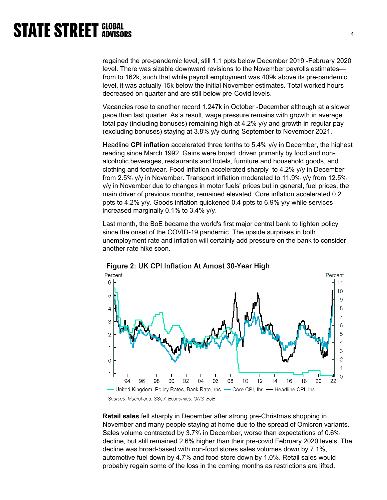regained the pre-pandemic level, still 1.1 ppts below December 2019 -February 2020 level. There was sizable downward revisions to the November payrolls estimates from to 162k, such that while payroll employment was 409k above its pre-pandemic level, it was actually 15k below the initial November estimates. Total worked hours decreased on quarter and are still below pre-Covid levels.

Vacancies rose to another record 1.247k in October -December although at a slower pace than last quarter. As a result, wage pressure remains with growth in average total pay (including bonuses) remaining high at 4.2% y/y and growth in regular pay (excluding bonuses) staying at 3.8% y/y during September to November 2021.

Headline CPI inflation accelerated three tenths to 5.4% y/y in December, the highest reading since March 1992. Gains were broad, driven primarily by food and nonalcoholic beverages, restaurants and hotels, furniture and household goods, and clothing and footwear. Food inflation accelerated sharply to 4.2% y/y in December from 2.5% y/y in November. Transport inflation moderated to 11.9% y/y from 12.5% y/y in November due to changes in motor fuels' prices but in general, fuel prices, the main driver of previous months, remained elevated. Core inflation accelerated 0.2 ppts to 4.2% y/y. Goods inflation quickened 0.4 ppts to 6.9% y/y while services increased marginally 0.1% to 3.4% y/y.

Last month, the BoE became the world's first major central bank to tighten policy since the onset of the COVID-19 pandemic. The upside surprises in both unemployment rate and inflation will certainly add pressure on the bank to consider another rate hike soon.



Figure 2: UK CPI Inflation At Amost 30-Year High

Retail sales fell sharply in December after strong pre-Christmas shopping in November and many people staying at home due to the spread of Omicron variants. Sales volume contracted by 3.7% in December, worse than expectations of 0.6% decline, but still remained 2.6% higher than their pre-covid February 2020 levels. The decline was broad-based with non-food stores sales volumes down by 7.1%, automotive fuel down by 4.7% and food store down by 1.0%. Retail sales would probably regain some of the loss in the coming months as restrictions are lifted.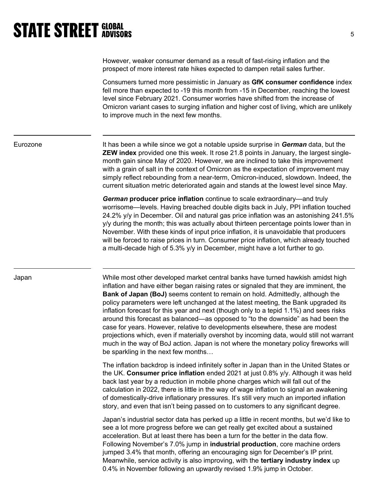However, weaker consumer demand as a result of fast-rising inflation and the prospect of more interest rate hikes expected to dampen retail sales further.

Consumers turned more pessimistic in January as GfK consumer confidence index fell more than expected to -19 this month from -15 in December, reaching the lowest level since February 2021. Consumer worries have shifted from the increase of Omicron variant cases to surging inflation and higher cost of living, which are unlikely to improve much in the next few months.

Eurozone **It has been a while since we got a notable upside surprise in German** data, but the ZEW index provided one this week. It rose 21.8 points in January, the largest singlemonth gain since May of 2020. However, we are inclined to take this improvement with a grain of salt in the context of Omicron as the expectation of improvement may simply reflect rebounding from a near-term, Omicron-induced, slowdown. Indeed, the current situation metric deteriorated again and stands at the lowest level since May.

> German producer price inflation continue to scale extraordinary—and truly worrisome—levels. Having breached double digits back in July, PPI inflation touched 24.2% y/y in December. Oil and natural gas price inflation was an astonishing 241.5% y/y during the month; this was actually about thirteen percentage points lower than in November. With these kinds of input price inflation, it is unavoidable that producers will be forced to raise prices in turn. Consumer price inflation, which already touched a multi-decade high of 5.3% y/y in December, might have a lot further to go.

Japan While most other developed market central banks have turned hawkish amidst high inflation and have either began raising rates or signaled that they are imminent, the Bank of Japan (BoJ) seems content to remain on hold. Admittedly, although the policy parameters were left unchanged at the latest meeting, the Bank upgraded its inflation forecast for this year and next (though only to a tepid 1.1%) and sees risks around this forecast as balanced—as opposed to "to the downside" as had been the case for years. However, relative to developments elsewhere, these are modest projections which, even if materially overshot by incoming data, would still not warrant much in the way of BoJ action. Japan is not where the monetary policy fireworks will be sparkling in the next few months…

> The inflation backdrop is indeed infinitely softer in Japan than in the United States or the UK. Consumer price inflation ended 2021 at just 0.8% y/y. Although it was held back last year by a reduction in mobile phone charges which will fall out of the calculation in 2022, there is little in the way of wage inflation to signal an awakening of domestically-drive inflationary pressures. It's still very much an imported inflation story, and even that isn't being passed on to customers to any significant degree.

> Japan's industrial sector data has perked up a little in recent months, but we'd like to see a lot more progress before we can get really get excited about a sustained acceleration. But at least there has been a turn for the better in the data flow. Following November's 7.0% jump in industrial production, core machine orders jumped 3.4% that month, offering an encouraging sign for December's IP print. Meanwhile, service activity is also improving, with the tertiary industry index up 0.4% in November following an upwardly revised 1.9% jump in October.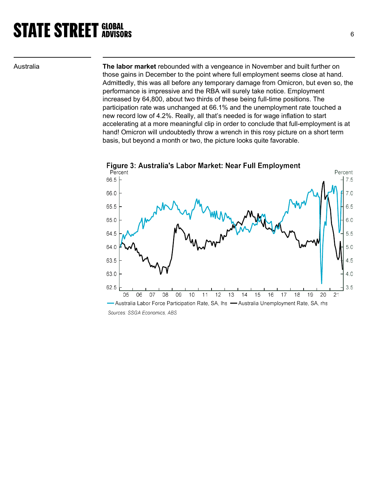Australia The labor market rebounded with a vengeance in November and built further on those gains in December to the point where full employment seems close at hand. Admittedly, this was all before any temporary damage from Omicron, but even so, the performance is impressive and the RBA will surely take notice. Employment increased by 64,800, about two thirds of these being full-time positions. The participation rate was unchanged at 66.1% and the unemployment rate touched a new record low of 4.2%. Really, all that's needed is for wage inflation to start accelerating at a more meaningful clip in order to conclude that full-employment is at hand! Omicron will undoubtedly throw a wrench in this rosy picture on a short term basis, but beyond a month or two, the picture looks quite favorable.



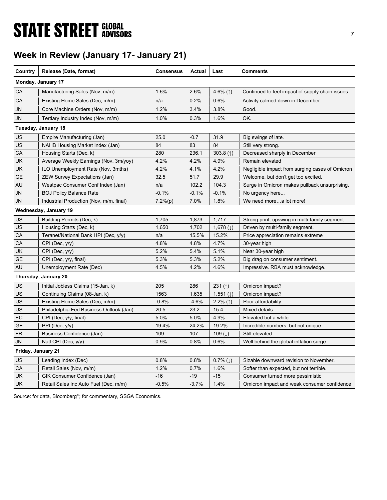# **STATE STREET GLOBAL STATE STREET GLOBAL**

# Week in Review (January 17- January 21)

| Country            | Release (Date, format)                  | <b>Consensus</b> | <b>Actual</b> | Last                     | <b>Comments</b>                                 |
|--------------------|-----------------------------------------|------------------|---------------|--------------------------|-------------------------------------------------|
|                    | Monday, January 17                      |                  |               |                          |                                                 |
| СA                 | Manufacturing Sales (Nov, m/m)          | 1.6%             | 2.6%          | 4.6% $($ 1)              | Continued to feel impact of supply chain issues |
| CA                 | Existing Home Sales (Dec, m/m)          | n/a              | 0.2%          | 0.6%                     | Activity calmed down in December                |
| JN                 | Core Machine Orders (Nov, m/m)          | 1.2%             | 3.4%          | 3.8%                     | Good.                                           |
| JN                 | Tertiary Industry Index (Nov, m/m)      | 1.0%             | 0.3%          | 1.6%                     | OK.                                             |
|                    | Tuesday, January 18                     |                  |               |                          |                                                 |
| US                 | Empire Manufacturing (Jan)              | 25.0             | $-0.7$        | 31.9                     | Big swings of late.                             |
| US                 | NAHB Housing Market Index (Jan)         | 84               | 83            | 84                       | Still very strong.                              |
| CA                 | Housing Starts (Dec, k)                 | 280              | 236.1         | 303.8 $($ $)$            | Decreased sharply in December                   |
| UK                 | Average Weekly Earnings (Nov, 3m/yoy)   | 4.2%             | 4.2%          | 4.9%                     | Remain elevated                                 |
| UK.                | ILO Unemployment Rate (Nov, 3mths)      | 4.2%             | 4.1%          | 4.2%                     | Negligible impact from surging cases of Omicron |
| <b>GE</b>          | <b>ZEW Survey Expectations (Jan)</b>    | 32.5             | 51.7          | 29.9                     | Welcome, but don't get too excited.             |
| AU                 | Westpac Consumer Conf Index (Jan)       | n/a              | 102.2         | 104.3                    | Surge in Omicron makes pullback unsurprising    |
| <b>JN</b>          | <b>BOJ Policy Balance Rate</b>          | $-0.1%$          | $-0.1%$       | $-0.1%$                  | No urgency here                                 |
| JN                 | Industrial Production (Nov, m/m, final) | 7.2%(p)          | 7.0%          | 1.8%                     | We need morea lot more!                         |
|                    | Wednesday, January 19                   |                  |               |                          |                                                 |
| <b>US</b>          | Building Permits (Dec, k)               | 1,705            | 1,873         | 1,717                    | Strong print, upswing in multi-family segment.  |
| US                 | Housing Starts (Dec, k)                 | 1,650            | 1,702         | 1,678 $(1)$              | Driven by multi-family segment.                 |
| CA                 | Teranet/National Bank HPI (Dec, y/y)    | n/a              | 15.5%         | 15.2%                    | Price appreciation remains extreme              |
| CA                 | CPI (Dec, y/y)                          | 4.8%             | 4.8%          | 4.7%                     | 30-year high                                    |
| UK                 | $CPI$ (Dec, $y/y$ )                     | 5.2%             | 5.4%          | 5.1%                     | Near 30-year high                               |
| <b>GE</b>          | CPI (Dec, y/y, final)                   | 5.3%             | 5.3%          | 5.2%                     | Big drag on consumer sentiment.                 |
| AU                 | Unemployment Rate (Dec)                 | 4.5%             | 4.2%          | 4.6%                     | Impressive. RBA must acknowledge.               |
|                    | Thursday, January 20                    |                  |               |                          |                                                 |
| US                 | Initial Jobless Claims (15-Jan, k)      | 205              | 286           | 231 $($ 1)               | Omicron impact?                                 |
| US                 | Continuing Claims (08-Jan, k)           | 1563             | 1,635         | 1,551 $(1)$              | Omicron impact?                                 |
| US                 | Existing Home Sales (Dec, m/m)          | $-0.8%$          | $-4.6%$       | $2.2\%$ (1)              | Poor affordability.                             |
| US                 | Philadelphia Fed Business Outlook (Jan) | 20.5             | 23.2          | 15.4                     | Mixed details.                                  |
| EC                 | $CPI$ (Dec, $y/y$ , final)              | 5.0%             | 5.0%          | 4.9%                     | Elevated but a while.                           |
| <b>GE</b>          | $PPI$ (Dec, $y/y$ )                     | 19.4%            | 24.2%         | 19.2%                    | Incredible numbers, but not unique.             |
| <b>FR</b>          | Business Confidence (Jan)               | 109              | 107           | 109 $(l)$                | Still elevated.                                 |
| JN                 | Natl CPI (Dec, $y/y$ )                  | 0.9%             | 0.8%          | 0.6%                     | Well behind the global inflation surge.         |
| Friday, January 21 |                                         |                  |               |                          |                                                 |
| <b>US</b>          | Leading Index (Dec)                     | 0.8%             | 0.8%          | $0.7\%$ ( $\downarrow$ ) | Sizable downward revision to November.          |
| CA                 | Retail Sales (Nov, m/m)                 | 1.2%             | 0.7%          | 1.6%                     | Softer than expected, but not terrible.         |
| UK                 | GfK Consumer Confidence (Jan)           | $-16$            | $-19$         | $-15$                    | Consumer turned more pessimistic                |
| <b>UK</b>          | Retail Sales Inc Auto Fuel (Dec, m/m)   | $-0.5%$          | $-3.7%$       | 1.4%                     | Omicron impact and weak consumer confidence     |

Source: for data, Bloomberg<sup>®</sup>; for commentary, SSGA Economics.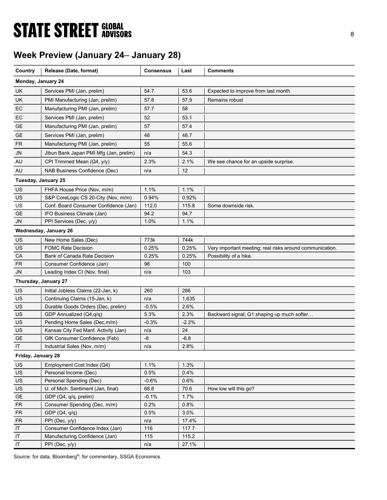# **STATE STREET GLOBAL STATE STREET GLOBAL**

## Week Preview (January 24– January 28)

| Country             | Release (Date, format)                                                       | <b>Consensus</b> | Last           | <b>Comments</b>                                          |
|---------------------|------------------------------------------------------------------------------|------------------|----------------|----------------------------------------------------------|
|                     |                                                                              |                  |                |                                                          |
| Monday, January 24  |                                                                              |                  |                |                                                          |
| UK                  | Services PMI (Jan, prelim)                                                   | 54.7             | 53.6           | Expected to improve from last month                      |
| <b>UK</b>           | PMI Manufacturing (Jan, prelim)                                              | 57.8             | 57.9           | Remains robust                                           |
| EC                  | Manufacturing PMI (Jan, prelim)                                              | 57.7             | 58             |                                                          |
| EC                  | Services PMI (Jan, prelim)                                                   | 52               | 53.1           |                                                          |
| GE                  | Manufacturing PMI (Jan, prelim)                                              | 57               | 57.4           |                                                          |
| <b>GE</b>           | Services PMI (Jan, prelim)                                                   | 48               | 48.7           |                                                          |
| FR                  | Manufacturing PMI (Jan, prelim)                                              | 55               | 55.6           |                                                          |
| <b>JN</b>           | Jibun Bank Japan PMI Mfg (Jan, prelim)                                       | n/a              | 54.3           |                                                          |
| AU                  | CPI Trimmed Mean (Q4, y/y)                                                   | 2.3%             | 2.1%           | We see chance for an upside surprise.                    |
| AU                  | NAB Business Confidence (Dec)                                                | n/a              | 12             |                                                          |
| Tuesday, January 25 |                                                                              |                  |                |                                                          |
|                     |                                                                              | 1.1%             |                |                                                          |
| US                  | FHFA House Price (Nov, m/m)                                                  |                  | 1.1%           |                                                          |
| US<br>US            | S&P CoreLogic CS 20-City (Nov, m/m)<br>Conf. Board Consumer Confidence (Jan) | 0.94%<br>112.0   | 0.92%<br>115.8 | Some downside risk.                                      |
| <b>GE</b>           | IFO Business Climate (Jan)                                                   | 94.2             | 94.7           |                                                          |
| <b>JN</b>           | PPI Services (Dec, y/y)                                                      | 1.0%             | 1.1%           |                                                          |
|                     |                                                                              |                  |                |                                                          |
|                     | Wednesday, January 26                                                        |                  |                |                                                          |
| US                  | New Home Sales (Dec)                                                         | 773k             | 744k           |                                                          |
| US                  | <b>FOMC Rate Decision</b>                                                    | 0.25%            | 0.25%          | Very important meeting; real risks around communication. |
| CA                  | Bank of Canada Rate Decision                                                 | 0.25%            | 0.25%          | Possibility of a hike.                                   |
| <b>FR</b><br>JN     | Consumer Confidence (Jan)                                                    | 98<br>n/a        | 100<br>103     |                                                          |
|                     | Leading Index CI (Nov, final)                                                |                  |                |                                                          |
|                     | Thursday, January 27                                                         |                  |                |                                                          |
| US                  | Initial Jobless Claims (22-Jan, k)                                           | 260              | 286            |                                                          |
| US                  | Continuing Claims (15-Jan, k)                                                | n/a              | 1,635          |                                                          |
| US                  | Durable Goods Orders (Dec, prelim)                                           | $-0.5%$          | 2.6%           |                                                          |
| US                  | GDP Annualized (Q4,q/q)                                                      | 5.3%             | 2.3%           | Backward signal; Q1 shaping up much softer               |
| US                  | Pending Home Sales (Dec, m/m)                                                | $-0.3%$          | $-2.2%$        |                                                          |
| US                  | Kansas City Fed Manf. Activity (Jan)                                         | n/a              | 24             |                                                          |
| <b>GE</b>           | GfK Consumer Confidence (Feb)                                                | -8               | $-6.8$         |                                                          |
| $\sf IT$            | Industrial Sales (Nov, m/m)                                                  | n/a              | 2.8%           |                                                          |
| Friday, January 28  |                                                                              |                  |                |                                                          |
| US                  | Employment Cost Index (Q4)                                                   | 1.1%             | 1.3%           |                                                          |
| US                  | Personal Income (Dec)                                                        | 0.5%             | 0.4%           |                                                          |
| US                  | Personal Spending (Dec)                                                      | $-0.6%$          | 0.6%           |                                                          |
| US                  | U. of Mich. Sentiment (Jan, final)                                           | 68.8             | 70.6           | How low will this go?                                    |
| <b>GE</b>           | GDP (Q4, q/q, prelim)                                                        | $-0.1%$          | 1.7%           |                                                          |
| ${\sf FR}$          | Consumer Spending (Dec, m/m)                                                 | 0.2%             | 0.8%           |                                                          |
| ${\sf FR}$          | GDP(Q4, q/q)                                                                 | 0.5%             | 3.0%           |                                                          |
| <b>FR</b>           | PPI (Dec, y/y)                                                               | n/a              | 17.4%          |                                                          |
| IT                  | Consumer Confidence Index (Jan)                                              | 116              | 117.7          |                                                          |
| IT                  | Manufacturing Confidence (Jan)                                               | 115              | 115.2          |                                                          |
| IT                  | PPI (Dec, y/y)                                                               | n/a              | 27.1%          |                                                          |

Source: for data, Bloomberg<sup>®</sup>; for commentary, SSGA Economics.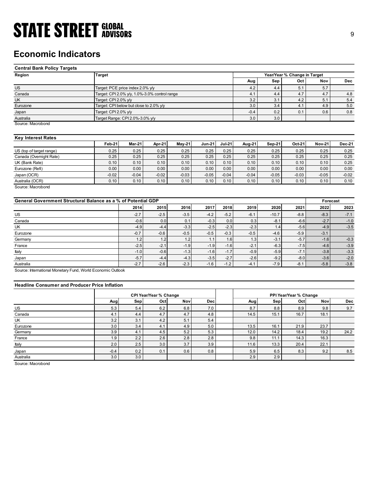## Economic Indicators

| <b>STATE STREET GLOBAL</b>                                    |                                                                       |                 |                 |                 |                 |                 |                 |                 |                              |                 |            |
|---------------------------------------------------------------|-----------------------------------------------------------------------|-----------------|-----------------|-----------------|-----------------|-----------------|-----------------|-----------------|------------------------------|-----------------|------------|
|                                                               |                                                                       |                 |                 |                 |                 |                 |                 |                 |                              |                 | 9          |
|                                                               |                                                                       |                 |                 |                 |                 |                 |                 |                 |                              |                 |            |
|                                                               |                                                                       |                 |                 |                 |                 |                 |                 |                 |                              |                 |            |
| <b>Economic Indicators</b>                                    |                                                                       |                 |                 |                 |                 |                 |                 |                 |                              |                 |            |
|                                                               |                                                                       |                 |                 |                 |                 |                 |                 |                 |                              |                 |            |
| <b>Central Bank Policy Targets</b>                            |                                                                       |                 |                 |                 |                 |                 |                 |                 |                              |                 |            |
| Region                                                        | <b>Target</b>                                                         |                 |                 |                 |                 |                 |                 |                 | Year/Year % Change in Target |                 |            |
|                                                               |                                                                       |                 |                 |                 |                 |                 | Aug             | Sep             | Oct                          | Nov             | <b>Dec</b> |
| $\overline{US}$                                               | Target: PCE price index 2.0% y/y                                      |                 |                 |                 |                 |                 | 4.2             | 4.4             | 5.1                          | 5.7             |            |
| Canada<br>UK                                                  | Target: CPI 2.0% y/y, 1.0%-3.0% control range<br>Target: CPI 2.0% y/y |                 |                 |                 |                 |                 | 4.1<br>3.2      | 4.4<br>3.1      | 4.7<br>4.2                   | 4.7<br>5.1      | 4.8<br>5.4 |
| Eurozone                                                      | Target: CPI below but close to 2.0% y/y                               |                 |                 |                 |                 |                 | 3.0             | 3.4             | 4.1                          | 4.9             | 5.0        |
| Japan                                                         | Target: CPI 2.0% y/y                                                  |                 |                 |                 |                 |                 | $-0.4$          | 0.2             | 0.1                          | 0.6             | 0.8        |
| Australia                                                     | Target Range: CPI 2.0%-3.0% y/y                                       |                 |                 |                 |                 |                 | 3.0             | 3.0             |                              |                 |            |
| Source: Macrobond                                             |                                                                       |                 |                 |                 |                 |                 |                 |                 |                              |                 |            |
|                                                               |                                                                       |                 |                 |                 |                 |                 |                 |                 |                              |                 |            |
| <b>Key Interest Rates</b>                                     |                                                                       |                 |                 |                 |                 |                 |                 |                 |                              |                 |            |
|                                                               | Feb-21                                                                | Mar-21          | Apr-21          | <b>May-21</b>   | <b>Jun-21</b>   | <b>Jul-21</b>   | Aug-21          | <b>Sep-21</b>   | Oct-21                       | <b>Nov-21</b>   | Dec-21     |
| US (top of target range)                                      | 0.25                                                                  | 0.25            | 0.25            | 0.25            | 0.25            | 0.25            | 0.25            | 0.25            | 0.25                         | 0.25            | 0.25       |
| Canada (Overnight Rate)                                       | 0.25                                                                  | 0.25            | 0.25            | 0.25            | 0.25            | 0.25            | 0.25            | 0.25            | 0.25                         | 0.25            | 0.25       |
| $\overline{UK}$ (Bank Rate)                                   | 0.10                                                                  | 0.10            | 0.10            | 0.10            | 0.10            | 0.10            | 0.10            | 0.10            | 0.10                         | 0.10            | 0.25       |
| Eurozone (Refi)                                               | 0.00                                                                  | 0.00            | 0.00            | 0.00            | 0.00            | 0.00            | 0.00            | 0.00            | 0.00                         | 0.00            | 0.00       |
| Japan (OCR)                                                   | $-0.02$<br>0.10                                                       | $-0.04$<br>0.10 | $-0.02$<br>0.10 | $-0.03$<br>0.10 | $-0.05$<br>0.10 | $-0.04$<br>0.10 | $-0.04$<br>0.10 | $-0.05$<br>0.10 | $-0.03$<br>0.10              | $-0.05$<br>0.10 | $-0.02$    |
| Australia (OCR)<br>Source: Macrobond                          |                                                                       |                 |                 |                 |                 |                 |                 |                 |                              |                 | 0.10       |
|                                                               |                                                                       |                 |                 |                 |                 |                 |                 |                 |                              |                 |            |
| General Government Structural Balance as a % of Potential GDP |                                                                       |                 |                 |                 |                 |                 |                 |                 |                              | Forecast        |            |
|                                                               |                                                                       | 2014            | 2015            | 2016            | 2017            | 2018            | 2019            | 2020            | 2021                         | 2022            | 2023       |
| US                                                            |                                                                       | $-2.7$          | $-2.5$          | $-3.5$          | $-4.2$          | $-5.2$          | $-6.1$          | $-10.7$         | $-8.8$                       | $-8.3$          | $-7.1$     |
| Canada                                                        |                                                                       | $-0.6$          | 0.0             | 0.1             | $-0.3$          | $0.0\,$         | 0.3             | $-8.1$          | $-6.6$                       | $-2.7$          | $-1.0$     |
| UK                                                            |                                                                       | $-4.9$          | $-4.4$          | $-3.3$          | $-2.5$          | $-2.3$          | $-2.3$          | 1.4             | $-5.6$                       | $-4.9$          | $-3.5$     |
|                                                               |                                                                       | $-0.7$          | $-0.6$          | $-0.5$          | $-0.5$          | $-0.3$          | $-0.5$          | $-4.6$          | $-5.9$                       | $-3.1$          |            |
|                                                               |                                                                       | 1.2             | 1.2             | 1.2             | 1.1             | 1.6             | 1.3             | $-3.1$          | $-5.7$                       | $-1.6$          | $-0.3$     |
| Eurozone<br>Germany                                           |                                                                       |                 |                 |                 |                 | $-1.6$          | $-2.1$          | $-6.3$          | $-7.5$                       | $-4.6$          | $-3.9$     |

### Key Interest Rates

|                          | Feb-21  | <b>Mar-21</b> | Apr-21  | $Mav-21$ | <b>Jun-21</b> | <b>Jul-21</b> | Aug-21  | Sep-21  | $Oct-21$ | <b>Nov-21</b> | <b>Dec-21</b> |
|--------------------------|---------|---------------|---------|----------|---------------|---------------|---------|---------|----------|---------------|---------------|
| US (top of target range) | 0.25    | 0.25          | 0.25    | 0.25     | 0.25          | 0.25          | 0.25    | 0.25    | 0.25     | 0.25          | 0.25          |
| Canada (Overnight Rate)  | 0.25    | 0.25          | 0.25    | 0.25     | 0.25          | 0.25          | 0.25    | 0.25    | 0.25     | 0.25          | 0.25          |
| UK (Bank Rate)           | 0.10    | 0.10          | 0.10    | 0.10     | 0.10          | 0.10          | 0.10    | 0.10    | 0.10     | 0.10          | 0.25          |
| Eurozone (Refi)          | 0.00    | 0.00          | 0.00    | 0.00     | 0.00          | 0.00          | 0.00    | 0.00    | 0.00     | 0.00          | 0.00          |
| Japan (OCR)              | $-0.02$ | $-0.04$       | $-0.02$ | $-0.03$  | $-0.05$       | $-0.04$       | $-0.04$ | $-0.05$ | $-0.03$  | $-0.05$       | $-0.02$       |
| Australia (OCR)          | 0.10    | 0.10          | 0.10    | 0.10     | 0.10          | 0.10          | 0.10    | 0.10    | 0.10     | 0.10          | 0.10          |
| Source: Macrobond        |         |               |         |          |               |               |         |         |          |               |               |

| <b>Economic Indicators</b>                                    |                      |                                               |                        |         |               |          |         |         |                              |                  |               |
|---------------------------------------------------------------|----------------------|-----------------------------------------------|------------------------|---------|---------------|----------|---------|---------|------------------------------|------------------|---------------|
| <b>Central Bank Policy Targets</b>                            |                      |                                               |                        |         |               |          |         |         |                              |                  |               |
| Region                                                        | <b>Target</b>        |                                               |                        |         |               |          |         |         | Year/Year % Change in Target |                  |               |
|                                                               |                      |                                               |                        |         |               |          | Aug     | Sep     | Oct                          | Nov              | <b>Dec</b>    |
| $\overline{US}$                                               |                      | Target: PCE price index 2.0% y/y              |                        |         |               |          | 4.2     | 4.4     | 5.1                          | 5.7              |               |
| Canada                                                        |                      | Target: CPI 2.0% y/y, 1.0%-3.0% control range |                        |         |               |          | 4.1     | 4.4     | 4.7                          | 4.7              | 4.8           |
| UK                                                            | Target: CPI 2.0% y/y |                                               |                        |         |               |          | 3.2     | 3.1     | 4.2                          | 5.1              | 5.4           |
| Eurozone                                                      |                      | Target: CPI below but close to 2.0% y/y       |                        |         |               |          | 3.0     | 3.4     | 4.1                          | 4.9              | 5.0           |
| Japan                                                         | Target: CPI 2.0% y/y |                                               |                        |         |               |          | $-0.4$  | 0.2     | 0.1                          | 0.6              | 0.8           |
| Australia                                                     |                      | Target Range: CPI 2.0%-3.0% y/y               |                        |         |               |          | 3.0     | 3.0     |                              |                  |               |
| Source: Macrobond                                             |                      |                                               |                        |         |               |          |         |         |                              |                  |               |
| <b>Key Interest Rates</b>                                     |                      |                                               |                        |         |               |          |         |         |                              |                  |               |
|                                                               | Feb-21               | Mar-21                                        | Apr-21                 | May-21  | <b>Jun-21</b> | $Jul-21$ | Aug-21  | Sep-21  | Oct-21                       | <b>Nov-21</b>    | <b>Dec-21</b> |
| US (top of target range)                                      | 0.25                 | 0.25                                          | 0.25                   | 0.25    | 0.25          | 0.25     | 0.25    | 0.25    | 0.25                         | 0.25             | 0.25          |
| Canada (Overnight Rate)                                       | 0.25                 | 0.25                                          | 0.25                   | 0.25    | 0.25          | 0.25     | 0.25    | 0.25    | 0.25                         | 0.25             | 0.25          |
| UK (Bank Rate)                                                | 0.10                 | 0.10                                          | 0.10                   | 0.10    | 0.10          | 0.10     | 0.10    | 0.10    | 0.10                         | 0.10             | 0.25          |
| Eurozone (Refi)                                               | 0.00                 | 0.00                                          | 0.00                   | 0.00    | 0.00          | 0.00     | 0.00    | 0.00    | 0.00                         | 0.00             | 0.00          |
| Japan (OCR)                                                   | $-0.02$              | $-0.04$                                       | $-0.02$                | $-0.03$ | $-0.05$       | $-0.04$  | $-0.04$ | $-0.05$ | $-0.03$                      | $-0.05$          | $-0.02$       |
| Australia (OCR)<br>Source: Macrobond                          | 0.10                 | 0.10                                          | 0.10                   | 0.10    | 0.10          | 0.10     | 0.10    | 0.10    | 0.10                         | 0.10             | 0.10          |
| General Government Structural Balance as a % of Potential GDP |                      | 2014                                          | 2015                   | 2016    | 2017          | 2018     | 2019    | 2020    | 2021                         | Forecast<br>2022 | 2023          |
| <b>US</b>                                                     |                      | $-2.7$                                        | $-2.5$                 | $-3.5$  | $-4.2$        | $-5.2$   | $-6.1$  | $-10.7$ | $-8.8$                       | $-8.3$           | $-7.1$        |
| Canada                                                        |                      | $-0.6$                                        | 0.0                    | 0.1     | $-0.3$        | 0.0      | 0.3     | $-8.1$  | $-6.6$                       | $-2.7$           | $-1.0$        |
| UK                                                            |                      | $-4.9$                                        | $-4.4$                 | $-3.3$  | $-2.5$        | $-2.3$   | $-2.3$  | 1.4     | $-5.6$                       | $-4.9$           | $-3.5$        |
| Eurozone                                                      |                      | $-0.7$                                        | $-0.6$                 | $-0.5$  | $-0.5$        | $-0.3$   | $-0.5$  | $-4.6$  | $-5.9$                       | $-3.1$           |               |
| Germany                                                       |                      | 1.2                                           | 1.2                    | 1.2     | 1.1           | 1.6      | 1.3     | $-3.1$  | $-5.7$                       | $-1.6$           | $-0.3$        |
| France                                                        |                      | $-2.5$                                        | $-2.1$                 | $-1.9$  | $-1.9$        | $-1.6$   | $-2.1$  | $-6.3$  | $-7.5$                       | $-4.6$           | $-3.9$        |
| Italy                                                         |                      | $-1.0$                                        | $-0.6$                 | $-1.3$  | $-1.6$        | $-1.7$   | $-0.9$  | $-5.9$  | $-7.1$                       | $-3.8$           | $-3.3$        |
|                                                               |                      | $-5.7$                                        | $-4.4$                 | $-4.3$  | $-3.5$        | $-2.7$   | $-2.6$  | $-9.2$  | $-8.0$                       | $-3.6$           | $-2.0$        |
| Japan<br>Australia                                            |                      | $-2.7$                                        | $-2.6$                 | $-2.3$  | $-1.6$        | $-1.2$   | $-4.1$  | $-7.9$  | $-8.1$                       | $-5.8$           | $-3.8$        |
| Source: International Monetary Fund, World Economic Outlook   |                      |                                               |                        |         |               |          |         |         |                              |                  |               |
| <b>Headline Consumer and Producer Price Inflation</b>         |                      |                                               |                        |         |               |          |         |         |                              |                  |               |
|                                                               |                      |                                               | CPI Year/Year % Change |         |               |          |         |         | PPI Year/Year % Change       |                  |               |
|                                                               | Aug                  | Sep                                           | Oct                    | Nov     | Dec           |          | Aug     | Sep     | Oct                          | Nov              | Dec           |
| US                                                            | 5.3                  | 5.4                                           | 6.2                    | 6.8     | 7.0           |          | 8.7     | 8.8     | 8.9                          | 9.8              | 9.7           |
| Canada                                                        | 4.1                  | 4.4                                           | 4.7                    | 4.7     | 4.8           |          | 14.5    | 15.1    | 16.7                         | 18.1             |               |
| UK                                                            | 3.2                  | 3.1                                           | 4.2                    | 5.1     | 5.4           |          |         |         |                              |                  |               |
| Eurozone                                                      | 3.0                  | 3.4                                           | 4.1                    | 4.9     | 5.0           |          | 13.5    | 16.1    | 21.9                         | 23.7             |               |
| Germany                                                       | 3.9                  | 4.1                                           | 4.5                    | 5.2     | 5.3           |          | 12.0    | 14.2    | 18.4                         | 19.2             | 24.2          |
| France                                                        | 1.9                  | 2.2                                           | 2.6                    | 2.8     | 2.8           |          | 9.8     | 11.1    | 14.3                         | 16.3             |               |
| Italy                                                         | 2.0                  | 2.5                                           | 3.0                    | 3.7     | 3.9           |          | 11.6    | 13.3    | 20.4                         | 22.1             |               |
| Japan                                                         | $-0.4$               | 0.2                                           | 0.1                    | 0.6     | 0.8           |          | 5.9     | 6.5     | 8.3                          | 9.2              | 8.5           |
|                                                               |                      |                                               |                        |         |               |          |         |         |                              |                  |               |

### Headline Consumer and Producer Price Inflation

| UK (Bank Rate)<br>Eurozone (Refi)                                                                         | 0.10    |         |                               |         |         |         |         |         |                               |          |         |
|-----------------------------------------------------------------------------------------------------------|---------|---------|-------------------------------|---------|---------|---------|---------|---------|-------------------------------|----------|---------|
|                                                                                                           |         | 0.10    | 0.10                          | 0.10    | 0.10    | 0.10    | 0.10    | 0.10    | 0.10                          | 0.10     | 0.25    |
|                                                                                                           | 0.00    | 0.00    | 0.00                          | 0.00    | 0.00    | 0.00    | 0.00    | 0.00    | 0.00                          | 0.00     | 0.00    |
| Japan (OCR)                                                                                               | $-0.02$ | $-0.04$ | $-0.02$                       | $-0.03$ | $-0.05$ | $-0.04$ | $-0.04$ | $-0.05$ | $-0.03$                       | $-0.05$  | $-0.02$ |
| Australia (OCR)                                                                                           | 0.10    | 0.10    | 0.10                          | 0.10    | 0.10    | 0.10    | 0.10    | 0.10    | 0.10                          | 0.10     | 0.10    |
| Source: Macrobond<br>General Government Structural Balance as a % of Potential GDP                        |         |         |                               |         |         |         |         |         |                               | Forecast |         |
|                                                                                                           |         | 2014    | 2015                          | 2016    | 2017    | 2018    | 2019    | 2020    | 2021                          | 2022     | 2023    |
| US                                                                                                        |         | $-2.7$  | $-2.5$                        | $-3.5$  | $-4.2$  | $-5.2$  | $-6.1$  | $-10.7$ | $-8.8$                        | $-8.3$   | $-7.1$  |
| Canada                                                                                                    |         | $-0.6$  | 0.0                           | 0.1     | $-0.3$  | 0.0     | 0.3     | $-8.1$  | $-6.6$                        | $-2.7$   | $-1.0$  |
| UK                                                                                                        |         | $-4.9$  | $-4.4$                        | $-3.3$  | $-2.5$  | $-2.3$  | $-2.3$  | 1.4     | $-5.6$                        | $-4.9$   | $-3.5$  |
| Eurozone                                                                                                  |         | $-0.7$  | $-0.6$                        | $-0.5$  | $-0.5$  | $-0.3$  | $-0.5$  | $-4.6$  | $-5.9$                        | $-3.1$   |         |
| Germany                                                                                                   |         | 1.2     | 1.2                           | 1.2     | 1.1     | 1.6     | 1.3     | $-3.1$  | $-5.7$                        | $-1.6$   | $-0.3$  |
| France                                                                                                    |         | $-2.5$  | $-2.1$                        | $-1.9$  | $-1.9$  | $-1.6$  | $-2.1$  | $-6.3$  | $-7.5$                        | $-4.6$   | $-3.9$  |
| Italy                                                                                                     |         | $-1.0$  | $-0.6$                        | $-1.3$  | $-1.6$  | $-1.7$  | $-0.9$  | $-5.9$  | $-7.1$                        | $-3.8$   | $-3.3$  |
|                                                                                                           |         | $-5.7$  | $-4.4$                        | $-4.3$  | $-3.5$  | $-2.7$  | $-2.6$  | $-9.2$  | $-8.0$                        | $-3.6$   | $-2.0$  |
|                                                                                                           |         |         |                               |         |         |         |         |         |                               |          |         |
| Australia                                                                                                 |         | $-2.7$  | $-2.6$                        | $-2.3$  | $-1.6$  | $-1.2$  | $-4.1$  | $-7.9$  | $-8.1$                        | $-5.8$   | $-3.8$  |
| <b>Headline Consumer and Producer Price Inflation</b>                                                     |         |         |                               |         |         |         |         |         |                               |          |         |
|                                                                                                           | Aug     | Sep     | CPI Year/Year % Change<br>Oct | Nov     | Dec     |         | Aug     | Sep     | PPI Year/Year % Change<br>Oct | Nov      | Dec     |
|                                                                                                           | 5.3     | 5.4     |                               | 6.8     | 7.0     |         | 8.7     | 8.8     | 8.9                           | 9.8      |         |
|                                                                                                           | 4.1     | 4.4     | 6.2<br>4.7                    | 4.7     | 4.8     |         | 14.5    | 15.1    | 16.7                          | 18.1     | 9.7     |
| UK                                                                                                        | 3.2     | 3.1     | 4.2                           | 5.1     | 5.4     |         |         |         |                               |          |         |
| Eurozone                                                                                                  | 3.0     | 3.4     | 4.1                           | 4.9     | 5.0     |         | 13.5    | 16.1    | 21.9                          | 23.7     |         |
|                                                                                                           | 3.9     | 4.1     | 4.5                           | 5.2     | 5.3     |         | 12.0    | 14.2    | 18.4                          | 19.2     | 24.2    |
| Japan<br>Source: International Monetary Fund, World Economic Outlook<br>US<br>Canada<br>Germany<br>France | 1.9     | 2.2     | 2.6                           | 2.8     | 2.8     |         | 9.8     | 11.1    | 14.3                          | 16.3     |         |
| Italy                                                                                                     | 2.0     | 2.5     | 3.0                           | 3.7     | 3.9     |         | 11.6    | 13.3    | 20.4                          | 22.1     |         |
| Japan                                                                                                     | $-0.4$  | 0.2     | 0.1                           | 0.6     | 0.8     |         | 5.9     | 6.5     | 8.3                           | 9.2      | 8.5     |
| Australia                                                                                                 | 3.0     | 3.0     |                               |         |         |         | 2.9     | 2.9     |                               |          |         |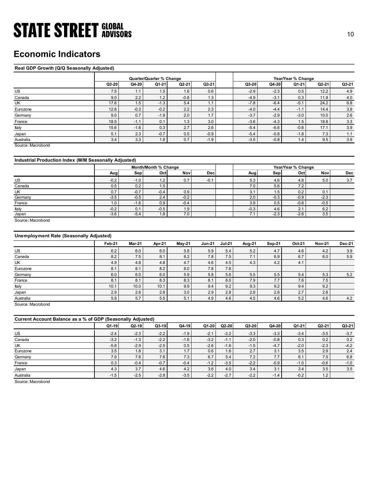## Economic Indicators

### Real GDP Growth (Q/Q Seasonally Adjusted)

| <b>STATE STREET GLOBAL</b>                            |               |                  |                          |                  |               |                                |            |                   |                    |                  | 10     |
|-------------------------------------------------------|---------------|------------------|--------------------------|------------------|---------------|--------------------------------|------------|-------------------|--------------------|------------------|--------|
|                                                       |               |                  |                          |                  |               |                                |            |                   |                    |                  |        |
|                                                       |               |                  |                          |                  |               |                                |            |                   |                    |                  |        |
| <b>Economic Indicators</b>                            |               |                  |                          |                  |               |                                |            |                   |                    |                  |        |
|                                                       |               |                  |                          |                  |               |                                |            |                   |                    |                  |        |
|                                                       |               |                  |                          |                  |               |                                |            |                   |                    |                  |        |
| Real GDP Growth (Q/Q Seasonally Adjusted)             |               |                  |                          |                  |               |                                |            |                   |                    |                  |        |
|                                                       |               |                  | Quarter/Quarter % Change |                  |               |                                |            |                   | Year/Year % Change |                  |        |
|                                                       | Q3-20         | Q4-20            | Q1-21                    | $Q2-21$          | Q3-21         | Q3-20                          |            | Q4-20             | Q1-21              | Q2-21            | Q3-21  |
| US                                                    | 7.5           | 1.1              | 1.5                      | 1.6              | 0.6           |                                | $-2.9$     | $-2.3$            | 0.5                | 12.2             | 4.9    |
| Canada                                                | 9.0           | 2.2              | 1.2                      | $-0.8$           | 1.3           |                                | $-4.9$     | $-3.1$            | 0.3                | 11.8             | 4.0    |
| UK                                                    | 17.6          | 1.5              | $-1.3$                   | 5.4              | 1.1           |                                | $-7.8$     | $-6.4$            | $-5.1$             | 24.2             | 6.8    |
| Eurozone                                              | 12.6          | $-0.3$           | $-0.2$                   | 2.2              | 2.3           |                                | $-4.0$     | $-4.4$            | $-1.1$             | 14.4             | 3.9    |
| Germany                                               | 9.0           | 0.7              | $-1.9$                   | 2.0              | 1.7           |                                | $-3.7$     | $-2.9$            | $-3.0$             | 10.0             | 2.6    |
| France                                                | 18.5          | $-1.1$           | 0.1                      | 1.3              | 3.0           |                                | $-3.6$     | $-4.3$            | 1.5                | 18.8             | 3.3    |
| Italy                                                 | 15.6          | $-1.6$           | 0.3                      | 2.7              | 2.6           |                                | $-5.4$     | $-6.6$            | $-0.6$             | 17.1             | 3.9    |
| Japan                                                 | 5.1           | 2.3              | $-0.7$                   | $0.5\,$          | $-0.9$        |                                | $-5.4$     | $-0.8$            | $-1.8$             | 7.3              | 1.1    |
| Australia<br>Source: Macrobond                        | 3.4           | 3.3              | 1.8                      | 0.7              | $-1.9$        |                                | $-3.5$     | $-0.8$            | 1.4                | 9.5              | 3.9    |
|                                                       |               |                  |                          |                  |               |                                |            |                   |                    |                  |        |
|                                                       |               |                  |                          |                  |               |                                |            |                   |                    |                  |        |
| Industrial Production Index (M/M Seasonally Adjusted) |               |                  |                          |                  |               |                                |            |                   |                    |                  |        |
|                                                       |               |                  | Month/Month % Change     |                  |               |                                |            |                   | Year/Year % Change |                  |        |
|                                                       | Aug           | Sep              | Oct                      | Nov              | Dec           |                                | Aug        | Sep               | Oct                | Nov              | Dec    |
| <b>US</b>                                             | $-0.2$        | $-1.0$           | 1.2                      | 0.7              | $-0.1$        |                                | 5.3        | 4.6               | 4.8                | 5.0              | 3.7    |
| Canada                                                | 0.5           | 0.2              | 1.5                      |                  |               |                                | 7.0        | 5.6               | 7.2                |                  |        |
| UK                                                    | 0.7           | $-0.7$           | $-0.4$                   | 0.9              |               |                                | 3.1        | 1.5               | 0.2                | 0.1              |        |
| Germany<br>France                                     | $-3.5$<br>1.0 | $-0.5$<br>$-1.6$ | 2.4<br>0.9               | $-0.2$<br>$-0.4$ |               |                                | 2.0<br>3.9 | $-0.3$<br>$0.5\,$ | $-0.9$<br>$-0.6$   | $-2.3$<br>$-0.5$ |        |
| Italy                                                 | $-0.2$        | 0.1              | $-0.5$                   | 1.9              |               |                                | $-0.3$     | $4.6\,$           | 2.1                | $6.2\,$          |        |
| Japan                                                 | $-3.6$        | $-5.4$           | 1.8                      | 7.0              |               |                                | 7.1        | $-2.3$            | $-2.6$             | 3.5              |        |
| Source: Macrobond                                     |               |                  |                          |                  |               |                                |            |                   |                    |                  |        |
|                                                       |               |                  |                          |                  |               |                                |            |                   |                    |                  |        |
|                                                       |               |                  |                          |                  |               |                                |            |                   |                    |                  |        |
| Unemployment Rate (Seasonally Adjusted)               |               |                  |                          |                  |               |                                |            |                   |                    |                  |        |
|                                                       | <b>Feb-21</b> | <b>Mar-21</b>    | Apr-21                   | <b>May-21</b>    | <b>Jun-21</b> | <b>Jul-21</b><br><b>Aug-21</b> |            | <b>Sep-21</b>     | Oct-21             | <b>Nov-21</b>    | Dec-21 |
| US                                                    | 6.2           | 6.0              | 6.0                      | 5.8              | $5.9\,$       | 5.4                            | $5.2\,$    | 4.7               | 4.6                | $4.2\,$          | 3.9    |
|                                                       | 8.2           | 7.5              | 8.1                      | 8.2              | 7.8           | 7.5                            | 7.1        | 6.9               | 6.7                | 6.0              | 5.9    |
| Canada                                                |               | 4.8              | $4.8\,$                  | 4.7              | 4.6           | 4.5                            | 4.3        | $4.2\,$           | 4.1                |                  |        |
| UK                                                    | $4.9$         |                  |                          |                  |               |                                |            |                   |                    |                  |        |
| Eurozone                                              | 8.1           | 8.1              | 8.2                      | $8.0\,$          | 7.8           | 7.6                            |            |                   |                    |                  |        |
| Germany                                               | 6.0           | 6.0              | 6.0                      | $5.9\,$          | 5.8           | 5.6                            | $5.5\,$    | 5.5               | $5.4\,$            | 5.3              | $5.2$  |
| France<br>Italy                                       | 8.1<br>10.1   | 8.1<br>10.0      | 8.3<br>10.1              | 8.3<br>9.9       | 8.1<br>9.4    | 8.0<br>9.2                     | 7.9<br>9.3 | 7.7<br>9.2        | 7.6<br>$9.4\,$     | 7.5<br>9.2       |        |

### Industrial Production Index (M/M Seasonally Adjusted)

|         |        |        | Month/Month % Change |                  |            |        |               | Year/Year % Change |        |            |
|---------|--------|--------|----------------------|------------------|------------|--------|---------------|--------------------|--------|------------|
|         | Aug    | Sep    | Oct                  | <b>Nov</b>       | <b>Dec</b> | Aug    | Sep           | Oct                | Nov    | <b>Dec</b> |
| US      | $-0.2$ | $-1.0$ | 1.2                  | 0.7              | $-0.1$     | 5.3    | 4.6           | 4.8                | 5.0    | 3.7        |
| Canada  | 0.5    | 0.2    | 1.5                  |                  |            | 7.0    | 5.6           | 7.2                |        |            |
| UK      | 0.7    | $-0.7$ | $-0.4$               | 0.9              |            | 3.1    | $1.5^{\circ}$ | 0.2                | 0.1    |            |
| Germany | $-3.5$ | $-0.5$ | 2.4                  | $-0.2$           |            | 2.0    | $-0.3$        | $-0.9$             | $-2.3$ |            |
| France  | 1.0    | $-1.6$ | 0.9                  | $-0.4$           |            | 3.9    | 0.5           | $-0.6$             | $-0.5$ |            |
| Italy   | $-0.2$ | 0.1    | $-0.5$               | 1.9              |            | $-0.3$ | 4.6           | $\Omega$<br>z.     | 6.2    |            |
| Japan   | $-3.6$ | $-5.4$ | 1.8                  | 7.0 <sub>1</sub> |            | 7.1    | $-2.3$        | $-2.6$             | 3.5    |            |

### Unemployment Rate (Seasonally Adjusted)

| US                                                          | 7.5    | 1.1    | 1.5                  | 1.6           | <b>0.6</b>    |               | $-2.9$ | $-2.3$ | 0.5                | 12.2          | 4.9           |
|-------------------------------------------------------------|--------|--------|----------------------|---------------|---------------|---------------|--------|--------|--------------------|---------------|---------------|
| Canada                                                      | 9.0    | 2.2    | 1.2                  | $-0.8$        | 1.3           |               | $-4.9$ | $-3.1$ | 0.3                | 11.8          | 4.0           |
| UK                                                          | 17.6   | 1.5    | $-1.3$               | 5.4           | 1.1           |               | $-7.8$ | $-6.4$ | $-5.1$             | 24.2          | 6.8           |
| Eurozone                                                    | 12.6   | $-0.3$ | $-0.2$               | 2.2           | 2.3           |               | $-4.0$ | $-4.4$ | $-1.1$             | 14.4          | 3.9           |
| Germany                                                     | 9.0    | 0.7    | $-1.9$               | 2.0           | 1.7           |               | $-3.7$ | $-2.9$ | $-3.0$             | 10.0          | 2.6           |
| France                                                      | 18.5   | $-1.1$ | 0.1                  | 1.3           | 3.0           |               | $-3.6$ | $-4.3$ | 1.5                | 18.8          | 3.3           |
| Italy                                                       | 15.6   | $-1.6$ | 0.3                  | 2.7           | 2.6           |               | $-5.4$ | $-6.6$ | $-0.6$             | 17.1          | 3.9           |
| Japan                                                       | 5.1    | 2.3    | $-0.7$               | $0.5\,$       | $-0.9$        |               | $-5.4$ | $-0.8$ | $-1.8$             | 7.3           | 1.1           |
|                                                             | 3.4    | 3.3    | 1.8                  | 0.7           | $-1.9$        |               | $-3.5$ | $-0.8$ | 1.4                | 9.5           | 3.9           |
| Australia<br>Source: Macrobond                              |        |        |                      |               |               |               |        |        |                    |               |               |
| Industrial Production Index (M/M Seasonally Adjusted)       |        |        |                      |               |               |               |        |        |                    |               |               |
|                                                             |        |        | Month/Month % Change |               |               |               |        |        | Year/Year % Change |               |               |
|                                                             | Aug    | Sep    | Oct                  | Nov           | Dec           |               | Aug    | Sep    | Oct                | Nov           | Dec           |
|                                                             |        |        |                      |               |               |               |        |        |                    |               |               |
| US                                                          | $-0.2$ | $-1.0$ | $1.2$                | 0.7           | $-0.1$        |               | 5.3    | 4.6    | 4.8                | $5.0\,$       | 3.7           |
| Canada                                                      | 0.5    | 0.2    | 1.5                  |               |               |               | 7.0    | 5.6    | 7.2                |               |               |
| UK                                                          | 0.7    | $-0.7$ | $-0.4$               | 0.9           |               |               | 3.1    | 1.5    | 0.2                | 0.1           |               |
| Germany                                                     | $-3.5$ | $-0.5$ | 2.4                  | $-0.2$        |               |               | 2.0    | $-0.3$ | $-0.9$             | $-2.3$        |               |
| France                                                      | 1.0    | $-1.6$ | 0.9                  | $-0.4$        |               |               | 3.9    | 0.5    | $-0.6$             | $-0.5$        |               |
| Italy                                                       | $-0.2$ | 0.1    | $-0.5$               | 1.9           |               |               | $-0.3$ | 4.6    | 2.1                | 6.2           |               |
| Japan<br>Source: Macrobond                                  | $-3.6$ | $-5.4$ | 1.8                  | 7.0           |               |               | 7.1    | $-2.3$ | $-2.6$             | 3.5           |               |
| <b>Unemployment Rate (Seasonally Adjusted)</b>              | Feb-21 | Mar-21 | Apr-21               | <b>May-21</b> | <b>Jun-21</b> | <b>Jul-21</b> | Aug-21 | Sep-21 | Oct-21             | <b>Nov-21</b> | <b>Dec-21</b> |
|                                                             |        |        |                      |               |               |               |        |        |                    |               |               |
| <b>US</b>                                                   | 6.2    | 6.0    | 6.0                  | 5.8           | 5.9           | 5.4<br>7.5    | 5.2    | 4.7    | 4.6                | 4.2           | 3.9           |
| Canada                                                      | 8.2    | 7.5    | 8.1                  | 8.2           | 7.8           |               | 7.1    | 6.9    | 6.7                | 6.0           | $5.9\,$       |
| UK                                                          | 4.9    | 4.8    | 4.8                  | 4.7           | 4.6           | 4.5           | 4.3    | 4.2    | 4.1                |               |               |
| Eurozone                                                    | 8.1    | 8.1    | 8.2                  | 8.0           | 7.8           | 7.6           |        |        |                    |               |               |
| Germany                                                     | 6.0    | 6.0    | 6.0                  | 5.9           | 5.8           | 5.6           | 5.5    | 5.5    | 5.4                | 5.3           | 5.2           |
| France                                                      | 8.1    | 8.1    | 8.3                  | 8.3           | 8.1           | 8.0           | 7.9    | 7.7    | 7.6                | 7.5           |               |
| Italy                                                       | 10.1   | 10.0   | 10.1                 | 9.9           | 9.4           | 9.2           | 9.3    | 9.2    | 9.4                | 9.2           |               |
| Japan                                                       | 2.9    | 2.6    | 2.8                  | 3.0           | 2.9           | 2.8           | 2.8    | 2.8    | 2.7                | 2.8           |               |
| Australia                                                   | 5.9    | 5.7    | 5.5                  | 5.1           | 4.9           | 4.6           | 4.5    | 4.6    | 5.2                | 4.6           | 4.2           |
| Source: Macrobond                                           |        |        |                      |               |               |               |        |        |                    |               |               |
| Current Account Balance as a % of GDP (Seasonally Adjusted) |        |        |                      |               |               |               |        |        |                    |               |               |
|                                                             | Q1-19  | Q2-19  | $Q3-19$              | $Q4-19$       | $Q1-20$       | $Q2-20$       | Q3-20  | Q4-20  | $Q1-21$            | Q2-21         | Q3-21         |
| US                                                          | $-2.4$ | $-2.3$ | $-2.2$               | $-1.9$        | $-2.1$        | $-3.2$        | $-3.3$ | $-3.3$ | $-3.4$             | $-3.5$        | $-3.7$        |
| Canada                                                      | $-3.2$ | $-1.3$ | $-2.2$               | $-1.6$        | $-3.2$        | $-1.1$        | $-2.0$ | $-0.8$ | 0.3                | 0.2           | $0.2\,$       |
| UK                                                          | $-5.8$ | $-2.9$ | $-2.5$               | 0.5           | $-2.6$        | $-1.6$        | $-1.5$ | $-4.7$ | $-2.0$             | $-2.3$        | $-4.2$        |
| Eurozone                                                    | 3.5    | 1.8    | 3.1                  | 1.7           | 0.6           | 1.6           | 2.7    | 3.1    | 3.5                | 2.9           | 2.4           |
| Germany                                                     | 7.9    | 7.6    | 7.6                  | 7.3           | 6.7           | 5.4           | 7.2    | 7.7    | 8.1                | 7.5           | 6.8           |
| France                                                      | 0.3    | $-0.4$ | $-0.7$               | $-0.4$        | $-1.2$        | $-3.5$        | $-2.2$ | $-0.9$ | $-1.0$             | $-0.6$        | $-1.0$        |
| Japan                                                       | 4.3    | 3.7    | 4.6                  | 4.2           | 3.6           | 4.0           | 3.4    | 3.1    | 3.4                | 3.5           | $3.5\,$       |
|                                                             |        |        |                      |               |               |               |        |        |                    |               |               |

|                                                                                                                                                                                                | $-0.2$        | $-1.0$        | 1.2           | 0.7           | $-0.1$        |               | 5.3           | 4.6           | 4.8           | 5.0           | 3.7           |
|------------------------------------------------------------------------------------------------------------------------------------------------------------------------------------------------|---------------|---------------|---------------|---------------|---------------|---------------|---------------|---------------|---------------|---------------|---------------|
| US                                                                                                                                                                                             |               |               |               |               |               |               |               |               |               |               |               |
| Canada                                                                                                                                                                                         | 0.5           | 0.2           | 1.5           |               |               |               | 7.0           | 5.6           | 7.2           |               |               |
| UK                                                                                                                                                                                             | 0.7           | $-0.7$        | $-0.4$        | 0.9           |               |               | 3.1           | 1.5           | 0.2           | 0.1           |               |
| Germany                                                                                                                                                                                        | $-3.5$        | $-0.5$        | 2.4           | $-0.2$        |               |               | 2.0           | $-0.3$        | $-0.9$        | $-2.3$        |               |
| France                                                                                                                                                                                         | 1.0           | $-1.6$        | 0.9           | $-0.4$        |               |               | 3.9           | 0.5           | $-0.6$        | $-0.5$        |               |
| Italy                                                                                                                                                                                          | $-0.2$        | 0.1           | $-0.5$        | 1.9           |               |               | $-0.3$        | 4.6           | 2.1           | 6.2           |               |
| Japan                                                                                                                                                                                          | $-3.6$        | $-5.4$        | 1.8           | 7.0           |               |               | 7.1           | $-2.3$        | $-2.6$        | 3.5           |               |
| Source: Macrobond                                                                                                                                                                              |               |               |               |               |               |               |               |               |               |               |               |
| <b>Unemployment Rate (Seasonally Adjusted)</b>                                                                                                                                                 |               |               |               |               |               |               |               |               |               |               |               |
|                                                                                                                                                                                                | Feb-21        | Mar-21        | Apr-21        | <b>May-21</b> | <b>Jun-21</b> | <b>Jul-21</b> | Aug-21        | Sep-21        | Oct-21        | <b>Nov-21</b> | <b>Dec-21</b> |
| US                                                                                                                                                                                             | 6.2           | 6.0           | $6.0\,$       | 5.8           | 5.9           | 5.4           | $5.2\,$       | 4.7           | 4.6           | 4.2           | 3.9           |
| Canada                                                                                                                                                                                         | 8.2           | 7.5           | 8.1           | 8.2           | 7.8           | 7.5           | 7.1           | 6.9           | 6.7           | 6.0           | 5.9           |
| UK                                                                                                                                                                                             | 4.9           | 4.8           | 4.8           | 4.7           | 4.6           | $4.5\,$       | 4.3           | 4.2           | 4.1           |               |               |
| Eurozone                                                                                                                                                                                       | 8.1           | 8.1           | 8.2           | 8.0           | 7.8           | 7.6           |               |               |               |               |               |
| Germany                                                                                                                                                                                        | $6.0\,$       | 6.0           | $6.0\,$       | 5.9           | 5.8           | 5.6           | 5.5           | 5.5           | 5.4           | 5.3           | $5.2\,$       |
| France                                                                                                                                                                                         | 8.1           | 8.1           | 8.3           | 8.3           | 8.1           | 8.0           | 7.9           | 7.7           | 7.6           | 7.5           |               |
|                                                                                                                                                                                                |               |               |               |               |               |               |               |               |               |               |               |
|                                                                                                                                                                                                |               |               |               |               |               |               |               |               |               |               |               |
|                                                                                                                                                                                                | 10.1          | 10.0          | 10.1          | 9.9           | 9.4           | 9.2           | 9.3           | 9.2           | 9.4           | 9.2           |               |
|                                                                                                                                                                                                | 2.9<br>5.9    | 2.6<br>5.7    | 2.8<br>5.5    | 3.0<br>5.1    | 2.9<br>4.9    | 2.8<br>4.6    | 2.8<br>4.5    | 2.8<br>4.6    | 2.7<br>5.2    | 2.8<br>4.6    | 4.2           |
|                                                                                                                                                                                                |               |               |               |               |               |               |               |               |               |               |               |
|                                                                                                                                                                                                |               |               |               |               |               |               |               |               |               |               |               |
|                                                                                                                                                                                                | $Q1-19$       | $Q2-19$       | $Q3-19$       | Q4-19         | $Q1-20$       | $Q2-20$       | Q3-20         | $Q4-20$       | Q1-21         | Q2-21         | Q3-21         |
|                                                                                                                                                                                                | $-2.4$        | $-2.3$        | $-2.2$        | $-1.9$        | $-2.1$        | $-3.2$        | $-3.3$        | $-3.3$        | $-3.4$        | $-3.5$        | $-3.7$        |
|                                                                                                                                                                                                | $-3.2$        | $-1.3$        | $-2.2$        | $-1.6$        | $-3.2$        | $-1.1$        | $-2.0$        | $-0.8$        | 0.3           | 0.2           | 0.2           |
|                                                                                                                                                                                                | $-5.8$        | $-2.9$        | $-2.5$        | 0.5           | $-2.6$        | $-1.6$        | $-1.5$        | $-4.7$        | $-2.0$        | $-2.3$        | $-4.2$        |
|                                                                                                                                                                                                | 3.5           | 1.8           | 3.1           | 1.7           | 0.6           | 1.6           | 2.7           | 3.1           | 3.5           | 2.9           | 2.4           |
|                                                                                                                                                                                                | 7.9           | 7.6           | 7.6           | 7.3           | 6.7           | 5.4           | 7.2           | 7.7           | 8.1           | $7.5\,$       | 6.8           |
|                                                                                                                                                                                                | 0.3           | $-0.4$        | $-0.7$        | $-0.4$        | $-1.2$        | $-3.5$        | $-2.2$        | $-0.9$        | $-1.0$        | $-0.6$        | $-1.0$        |
| Italy<br>Japan<br>Australia<br>Source: Macrobond<br>Current Account Balance as a % of GDP (Seasonally Adjusted)<br>$US$<br>Canada<br>UK<br>Eurozone<br>Germany<br>France<br>Japan<br>Australia | 4.3<br>$-1.5$ | 3.7<br>$-2.5$ | 4.6<br>$-2.8$ | 4.2<br>$-3.5$ | 3.6<br>$-2.2$ | 4.0<br>$-2.7$ | 3.4<br>$-2.2$ | 3.1<br>$-1.4$ | 3.4<br>$-0.2$ | 3.5<br>1.2    | 3.5           |